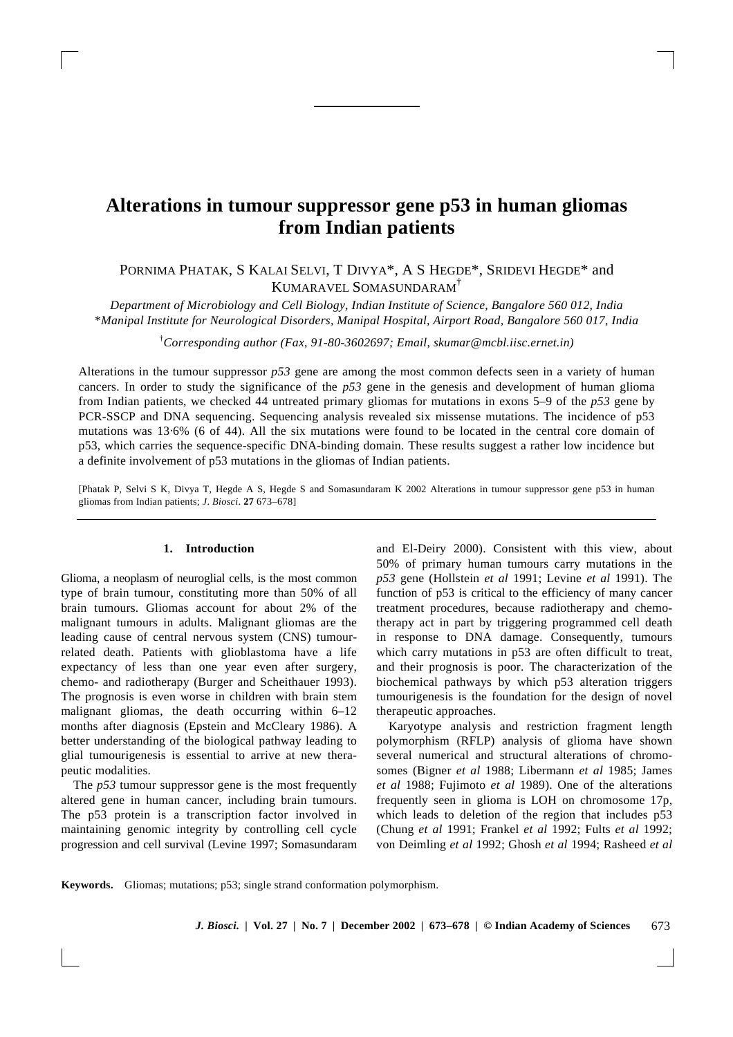# **Alterations in tumour suppressor gene p53 in human gliomas from Indian patients**

PORNIMA PHATAK, S KALAI SELVI, T DIVYA\*, A S HEGDE\*, SRIDEVI HEGDE\* and KUMARAVEL SOMASUNDARAM†

*Department of Microbiology and Cell Biology, Indian Institute of Science, Bangalore 560 012, India* \**Manipal Institute for Neurological Disorders, Manipal Hospital, Airport Road, Bangalore 560 017, India*

†*Corresponding author (Fax*, *91-80-3602697; Email*, *skumar@mcbl.iisc.ernet.in)*

Alterations in the tumour suppressor *p53* gene are among the most common defects seen in a variety of human cancers. In order to study the significance of the *p53* gene in the genesis and development of human glioma from Indian patients, we checked 44 untreated primary gliomas for mutations in exons 5–9 of the *p53* gene by PCR-SSCP and DNA sequencing. Sequencing analysis revealed six missense mutations. The incidence of p53 mutations was 13⋅6% (6 of 44). All the six mutations were found to be located in the central core domain of p53, which carries the sequence-specific DNA-binding domain. These results suggest a rather low incidence but a definite involvement of p53 mutations in the gliomas of Indian patients.

[Phatak P, Selvi S K, Divya T, Hegde A S, Hegde S and Somasundaram K 2002 Alterations in tumour suppressor gene p53 in human gliomas from Indian patients; *J*. *Biosci*. **27** 673–678]

# **1. Introduction**

Glioma, a neoplasm of neuroglial cells, is the most common type of brain tumour, constituting more than 50% of all brain tumours. Gliomas account for about 2% of the malignant tumours in adults. Malignant gliomas are the leading cause of central nervous system (CNS) tumourrelated death. Patients with glioblastoma have a life expectancy of less than one year even after surgery, chemo- and radiotherapy (Burger and Scheithauer 1993). The prognosis is even worse in children with brain stem malignant gliomas, the death occurring within 6–12 months after diagnosis (Epstein and McCleary 1986). A better understanding of the biological pathway leading to glial tumourigenesis is essential to arrive at new therapeutic modalities.

The *p53* tumour suppressor gene is the most frequently altered gene in human cancer, including brain tumours. The p53 protein is a transcription factor involved in maintaining genomic integrity by controlling cell cycle progression and cell survival (Levine 1997; Somasundaram and El-Deiry 2000). Consistent with this view, about 50% of primary human tumours carry mutations in the *p53* gene (Hollstein *et al* 1991; Levine *et al* 1991). The function of p53 is critical to the efficiency of many cancer treatment procedures, because radiotherapy and chemotherapy act in part by triggering programmed cell death in response to DNA damage. Consequently, tumours which carry mutations in p53 are often difficult to treat, and their prognosis is poor. The characterization of the biochemical pathways by which p53 alteration triggers tumourigenesis is the foundation for the design of novel therapeutic approaches.

Karyotype analysis and restriction fragment length polymorphism (RFLP) analysis of glioma have shown several numerical and structural alterations of chromosomes (Bigner *et al* 1988; Libermann *et al* 1985; James *et al* 1988; Fujimoto *et al* 1989). One of the alterations frequently seen in glioma is LOH on chromosome 17p, which leads to deletion of the region that includes p53 (Chung *et al* 1991; Frankel *et al* 1992; Fults *et al* 1992; von Deimling *et al* 1992; Ghosh *et al* 1994; Rasheed *et al*

**Keywords.** Gliomas; mutations; p53; single strand conformation polymorphism.

673 *J. Biosci.* **| Vol. 27 | No. 7 | December 2002 | 673–678 | © Indian Academy of Sciences**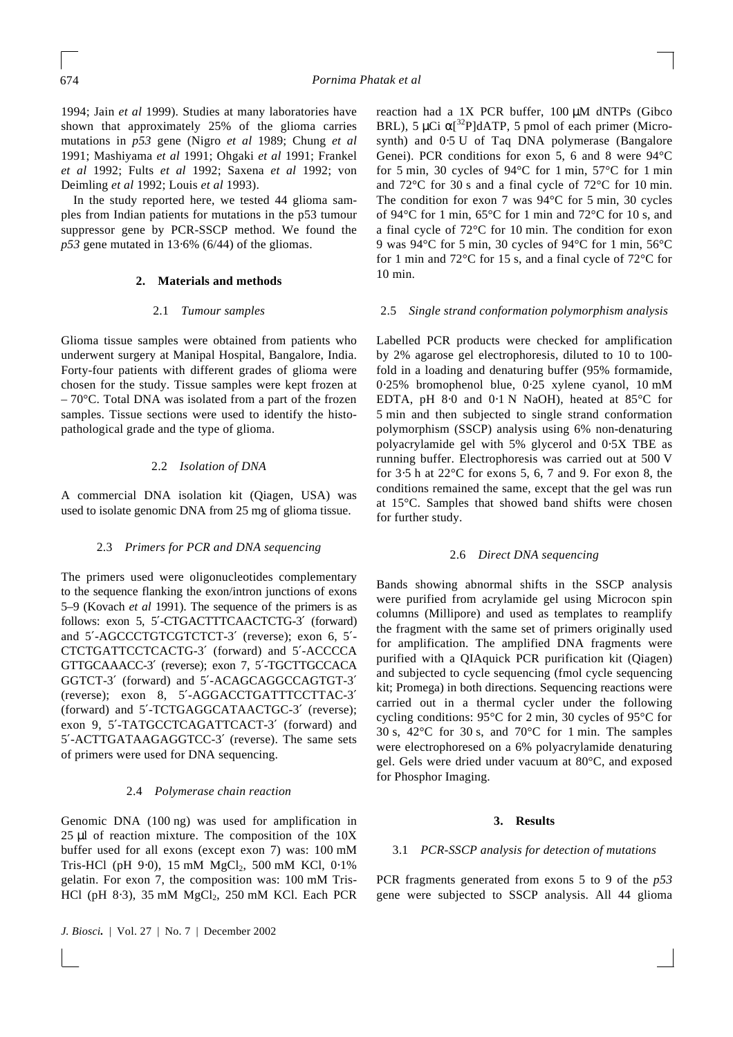1994; Jain *et al* 1999). Studies at many laboratories have shown that approximately 25% of the glioma carries mutations in *p53* gene (Nigro *et al* 1989; Chung *et al* 1991; Mashiyama *et al* 1991; Ohgaki *et al* 1991; Frankel *et al* 1992; Fults *et al* 1992; Saxena *et al* 1992; von Deimling *et al* 1992; Louis *et al* 1993).

In the study reported here, we tested 44 glioma samples from Indian patients for mutations in the p53 tumour suppressor gene by PCR-SSCP method. We found the *p53* gene mutated in 13⋅6% (6/44) of the gliomas.

## **2. Materials and methods**

# 2.1 *Tumour samples*

Glioma tissue samples were obtained from patients who underwent surgery at Manipal Hospital, Bangalore, India. Forty-four patients with different grades of glioma were chosen for the study. Tissue samples were kept frozen at  $-70^{\circ}$ C. Total DNA was isolated from a part of the frozen samples. Tissue sections were used to identify the histopathological grade and the type of glioma.

# 2.2 *Isolation of DNA*

A commercial DNA isolation kit (Qiagen, USA) was used to isolate genomic DNA from 25 mg of glioma tissue.

# 2.3 *Primers for PCR and DNA sequencing*

The primers used were oligonucleotides complementary to the sequence flanking the exon/intron junctions of exons 5–9 (Kovach *et al* 1991). The sequence of the primers is as follows: exon 5, 5′-CTGACTTTCAACTCTG-3′ (forward) and 5′-AGCCCTGTCGTCTCT-3′ (reverse); exon 6, 5′- CTCTGATTCCTCACTG-3′ (forward) and 5′-ACCCCA GTTGCAAACC-3′ (reverse); exon 7, 5′-TGCTTGCCACA GGTCT-3′ (forward) and 5′-ACAGCAGGCCAGTGT-3′ (reverse); exon 8, 5′-AGGACCTGATTTCCTTAC-3′ (forward) and 5′-TCTGAGGCATAACTGC-3′ (reverse); exon 9, 5′-TATGCCTCAGATTCACT-3′ (forward) and 5′-ACTTGATAAGAGGTCC-3′ (reverse). The same sets of primers were used for DNA sequencing.

## 2.4 *Polymerase chain reaction*

Genomic DNA (100 ng) was used for amplification in 25 μl of reaction mixture. The composition of the 10X buffer used for all exons (except exon 7) was: 100 mM Tris-HCl (pH 9⋅0), 15 mM MgCl<sub>2</sub>, 500 mM KCl, 0⋅1% gelatin. For exon 7, the composition was: 100 mM Tris-HCl (pH  $8.3$ ), 35 mM MgCl<sub>2</sub>, 250 mM KCl. Each PCR

*J. Biosci.* | Vol. 27 | No. 7 | December 2002

reaction had a 1X PCR buffer, 100 μM dNTPs (Gibco BRL), 5 μCi a[<sup>32</sup>P]dATP, 5 pmol of each primer (Microsynth) and  $0.5$  U of Taq DNA polymerase (Bangalore Genei). PCR conditions for exon 5, 6 and 8 were 94°C for 5 min, 30 cycles of 94°C for 1 min, 57°C for 1 min and 72°C for 30 s and a final cycle of 72°C for 10 min. The condition for exon 7 was 94°C for 5 min, 30 cycles of 94°C for 1 min, 65°C for 1 min and 72°C for 10 s, and a final cycle of 72°C for 10 min. The condition for exon 9 was 94°C for 5 min, 30 cycles of 94°C for 1 min, 56°C for 1 min and 72°C for 15 s, and a final cycle of 72°C for 10 min.

## 2.5 *Single strand conformation polymorphism analysis*

Labelled PCR products were checked for amplification by 2% agarose gel electrophoresis, diluted to 10 to 100 fold in a loading and denaturing buffer (95% formamide, 0⋅25% bromophenol blue, 0⋅25 xylene cyanol, 10 mM EDTA, pH 8⋅0 and 0⋅1 N NaOH), heated at 85°C for 5 min and then subjected to single strand conformation polymorphism (SSCP) analysis using 6% non-denaturing polyacrylamide gel with 5% glycerol and 0⋅5X TBE as running buffer. Electrophoresis was carried out at 500 V for 3⋅5 h at 22°C for exons 5, 6, 7 and 9. For exon 8, the conditions remained the same, except that the gel was run at 15°C. Samples that showed band shifts were chosen for further study.

#### 2.6 *Direct DNA sequencing*

Bands showing abnormal shifts in the SSCP analysis were purified from acrylamide gel using Microcon spin columns (Millipore) and used as templates to reamplify the fragment with the same set of primers originally used for amplification. The amplified DNA fragments were purified with a QIAquick PCR purification kit (Qiagen) and subjected to cycle sequencing (fmol cycle sequencing kit: Promega) in both directions. Sequencing reactions were carried out in a thermal cycler under the following cycling conditions: 95°C for 2 min, 30 cycles of 95°C for 30 s, 42°C for 30 s, and 70°C for 1 min. The samples were electrophoresed on a 6% polyacrylamide denaturing gel. Gels were dried under vacuum at 80°C, and exposed for Phosphor Imaging.

#### **3. Results**

# 3.1 *PCR-SSCP analysis for detection of mutations*

PCR fragments generated from exons 5 to 9 of the *p53* gene were subjected to SSCP analysis. All 44 glioma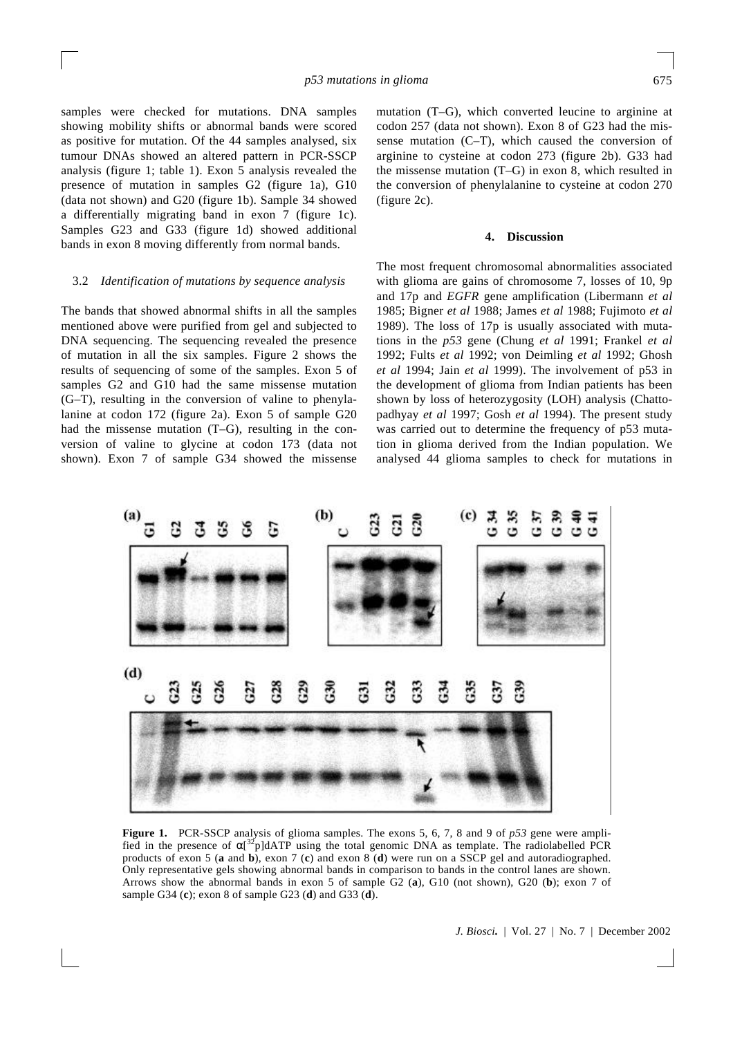samples were checked for mutations. DNA samples showing mobility shifts or abnormal bands were scored as positive for mutation. Of the 44 samples analysed, six tumour DNAs showed an altered pattern in PCR-SSCP analysis (figure 1; table 1). Exon 5 analysis revealed the presence of mutation in samples G2 (figure 1a), G10 (data not shown) and G20 (figure 1b). Sample 34 showed a differentially migrating band in exon 7 (figure 1c). Samples G23 and G33 (figure 1d) showed additional bands in exon 8 moving differently from normal bands.

## 3.2 *Identification of mutations by sequence analysis*

The bands that showed abnormal shifts in all the samples mentioned above were purified from gel and subjected to DNA sequencing. The sequencing revealed the presence of mutation in all the six samples. Figure 2 shows the results of sequencing of some of the samples. Exon 5 of samples G2 and G10 had the same missense mutation (G–T), resulting in the conversion of valine to phenylalanine at codon 172 (figure 2a). Exon 5 of sample G20 had the missense mutation (T–G), resulting in the conversion of valine to glycine at codon 173 (data not shown). Exon 7 of sample G34 showed the missense mutation (T–G), which converted leucine to arginine at codon 257 (data not shown). Exon 8 of G23 had the missense mutation (C–T), which caused the conversion of arginine to cysteine at codon 273 (figure 2b). G33 had the missense mutation (T–G) in exon 8, which resulted in the conversion of phenylalanine to cysteine at codon 270 (figure 2c).

## **4. Discussion**

The most frequent chromosomal abnormalities associated with glioma are gains of chromosome 7, losses of 10, 9p and 17p and *EGFR* gene amplification (Libermann *et al* 1985; Bigner *et al* 1988; James *et al* 1988; Fujimoto *et al* 1989). The loss of 17p is usually associated with mutations in the *p53* gene (Chung *et al* 1991; Frankel *et al* 1992; Fults *et al* 1992; von Deimling *et al* 1992; Ghosh *et al* 1994; Jain *et al* 1999). The involvement of p53 in the development of glioma from Indian patients has been shown by loss of heterozygosity (LOH) analysis (Chattopadhyay *et al* 1997; Gosh *et al* 1994). The present study was carried out to determine the frequency of p53 mutation in glioma derived from the Indian population. We analysed 44 glioma samples to check for mutations in



**Figure 1.** PCR-SSCP analysis of glioma samples. The exons 5, 6, 7, 8 and 9 of *p53* gene were amplified in the presence of  $a^{32}$ <sub>p</sub>]dATP using the total genomic DNA as template. The radiolabelled PCR products of exon 5 (**a** and **b**), exon 7 (**c**) and exon 8 (**d**) were run on a SSCP gel and autoradiographed. Only representative gels showing abnormal bands in comparison to bands in the control lanes are shown. Arrows show the abnormal bands in exon 5 of sample G2 (**a**), G10 (not shown), G20 (**b**); exon 7 of sample G34 (**c**); exon 8 of sample G23 (**d**) and G33 (**d**).

*J. Biosci.* | Vol. 27 | No. 7 | December 2002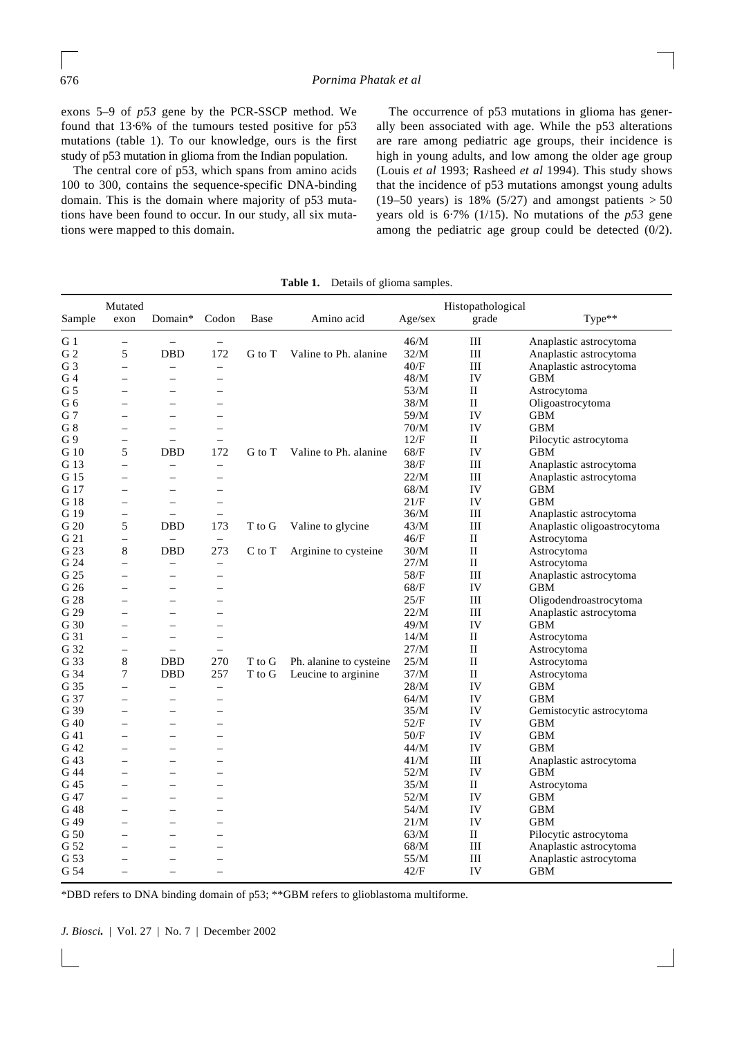exons 5–9 of *p53* gene by the PCR-SSCP method. We found that 13⋅6% of the tumours tested positive for p53 mutations (table 1). To our knowledge, ours is the first study of p53 mutation in glioma from the Indian population.

The central core of p53, which spans from amino acids 100 to 300, contains the sequence-specific DNA-binding domain. This is the domain where majority of p53 mutations have been found to occur. In our study, all six mutations were mapped to this domain.

The occurrence of p53 mutations in glioma has generally been associated with age. While the p53 alterations are rare among pediatric age groups, their incidence is high in young adults, and low among the older age group (Louis *et al* 1993; Rasheed *et al* 1994). This study shows that the incidence of p53 mutations amongst young adults (19–50 years) is 18% (5/27) and amongst patients  $> 50$ years old is 6⋅7% (1/15). No mutations of the *p53* gene among the pediatric age group could be detected (0/2).

| Sample         | Mutated<br>exon          | Domain*                  | Codon                    | Base   | Amino acid              | Age/sex | Histopathological<br>grade | Type**                      |
|----------------|--------------------------|--------------------------|--------------------------|--------|-------------------------|---------|----------------------------|-----------------------------|
| G <sub>1</sub> | $\overline{\phantom{0}}$ | $\overline{\phantom{m}}$ | $\qquad \qquad -$        |        |                         | 46/M    | Ш                          | Anaplastic astrocytoma      |
| G <sub>2</sub> | 5                        | <b>DBD</b>               | 172                      | G to T | Valine to Ph. alanine   | 32/M    | III                        | Anaplastic astrocytoma      |
| G3             | $\overline{\phantom{0}}$ | $\equiv$                 | $\equiv$                 |        |                         | 40/F    | III                        | Anaplastic astrocytoma      |
| G 4            | $=$                      | $\equiv$                 | $\overline{\phantom{0}}$ |        |                         | 48/M    | IV                         | GBM                         |
| G 5            | $\overline{\phantom{0}}$ | $\overline{\phantom{0}}$ | ÷                        |        |                         | 53/M    | $_{\rm II}$                | Astrocytoma                 |
| G 6            | $\overline{\phantom{0}}$ | $\overline{\phantom{0}}$ | $\overline{\phantom{0}}$ |        |                         | 38/M    | П                          | Oligoastrocytoma            |
| G 7            | $=$                      | $\sim$                   | $\equiv$                 |        |                         | 59/M    | IV                         | GBM                         |
| G8             | $=$                      | $\equiv$                 | ÷                        |        |                         | 70/M    | IV                         | <b>GBM</b>                  |
| G9             | $\overline{\phantom{0}}$ |                          |                          |        |                         | 12/F    | П                          | Pilocytic astrocytoma       |
| G 10           | 5                        | DBD                      | 172                      | G to T | Valine to Ph. alanine   | 68/F    | IV                         | <b>GBM</b>                  |
| G 13           | $\overline{a}$           | $\equiv$                 | $\overline{\phantom{m}}$ |        |                         | 38/F    | Ш                          | Anaplastic astrocytoma      |
| G 15           |                          | $\overline{\phantom{0}}$ |                          |        |                         | 22/M    | Ш                          | Anaplastic astrocytoma      |
|                |                          |                          |                          |        |                         | $68/M$  | IV                         | <b>GBM</b>                  |
| G 17           | -                        | $\overline{\phantom{0}}$ | $\overline{\phantom{0}}$ |        |                         | 21/F    |                            | <b>GBM</b>                  |
| G 18           | $\overline{\phantom{0}}$ | $\frac{1}{2}$            | $\equiv$                 |        |                         |         | IV                         |                             |
| G 19           | $\overline{\phantom{0}}$ | $\frac{1}{2}$            | $\frac{1}{2}$            |        |                         | 36/M    | Ш                          | Anaplastic astrocytoma      |
| G 20           | 5                        | <b>DBD</b>               | 173                      | T to G | Valine to glycine       | 43/M    | Ш                          | Anaplastic oligoastrocytoma |
| G 21           | $\equiv$                 |                          | $\equiv$                 |        |                         | 46/F    | $_{\rm II}$                | Astrocytoma                 |
| G 23           | 8                        | <b>DBD</b>               | 273                      | C to T | Arginine to cysteine    | 30/M    | П                          | Astrocytoma                 |
| G 24           | $\equiv$                 | $\overline{\phantom{m}}$ | $\equiv$                 |        |                         | 27/M    | $\mathbf{I}$               | Astrocytoma                 |
| G 25           | $\overline{\phantom{0}}$ | $\equiv$                 | $\equiv$                 |        |                         | $58/F$  | Ш                          | Anaplastic astrocytoma      |
| G 26           | $\overline{\phantom{0}}$ |                          |                          |        |                         | 68/F    | IV                         | <b>GBM</b>                  |
| G 28           | $\overline{\phantom{0}}$ |                          | $\overline{\phantom{0}}$ |        |                         | 25/F    | III                        | Oligodendroastrocytoma      |
| G 29           | $\overline{\phantom{0}}$ | $\equiv$                 | $\overline{\phantom{0}}$ |        |                         | 22/M    | Ш                          | Anaplastic astrocytoma      |
| G 30           | $=$                      |                          | ÷                        |        |                         | 49/M    | IV                         | GBM                         |
| G 31           | $\overline{\phantom{0}}$ |                          | $\overline{\phantom{0}}$ |        |                         | 14/M    | $_{\rm II}$                | Astrocytoma                 |
| G 32           | $\overline{\phantom{0}}$ |                          | $\overline{\phantom{0}}$ |        |                         | 27/M    | П                          | Astrocytoma                 |
| G 33           | $\,$ 8 $\,$              | <b>DBD</b>               | 270                      | T to G | Ph. alanine to cysteine | 25/M    | $_{\rm II}$                | Astrocytoma                 |
| G 34           | 7                        | <b>DBD</b>               | 257                      | T to G | Leucine to arginine     | 37/M    | П                          | Astrocytoma                 |
| G 35           | $\overline{\phantom{0}}$ |                          | $\overline{\phantom{m}}$ |        |                         | 28/M    | IV                         | <b>GBM</b>                  |
| G 37           | $\overline{\phantom{0}}$ | $\equiv$                 | $\equiv$                 |        |                         | 64/M    | IV                         | <b>GBM</b>                  |
| G 39           | $\overline{\phantom{0}}$ | $\equiv$                 | $\overline{\phantom{0}}$ |        |                         | 35/M    | IV                         | Gemistocytic astrocytoma    |
| G 40           | $\overline{\phantom{0}}$ | $\overline{\phantom{0}}$ | ÷,                       |        |                         | 52/F    | IV                         | <b>GBM</b>                  |
| G 41           |                          |                          | $\overline{\phantom{0}}$ |        |                         | 50/F    | IV                         | <b>GBM</b>                  |
| G 42           | $\overline{\phantom{0}}$ | $\overline{\phantom{0}}$ | $\overline{\phantom{0}}$ |        |                         | 44/M    | IV                         | <b>GBM</b>                  |
| G 43           | $\overline{\phantom{0}}$ | $\overline{\phantom{0}}$ | $\overline{\phantom{0}}$ |        |                         | 41/M    | Ш                          | Anaplastic astrocytoma      |
| G 44           | $\overline{\phantom{0}}$ | $\overline{\phantom{0}}$ | $\overline{\phantom{0}}$ |        |                         | 52/M    | IV                         | <b>GBM</b>                  |
| G 45           | $\overline{\phantom{0}}$ | $\frac{1}{2}$            | $\overline{\phantom{0}}$ |        |                         | 35/M    | П                          | Astrocytoma                 |
| G 47           | $\overline{\phantom{0}}$ | $\overline{\phantom{0}}$ | $\overline{\phantom{0}}$ |        |                         | 52/M    | IV                         | GBM                         |
| G 48           | $\overline{a}$           | $\sim$                   | $\equiv$                 |        |                         | 54/M    | IV                         | <b>GBM</b>                  |
| G 49           | $\overline{\phantom{0}}$ |                          | $\overline{\phantom{0}}$ |        |                         | 21/M    | IV                         | <b>GBM</b>                  |
| G 50           | $\overline{\phantom{0}}$ | $\equiv$                 | $\overline{\phantom{0}}$ |        |                         | 63/M    | П                          | Pilocytic astrocytoma       |
| G 52           | $\overline{\phantom{0}}$ | $\overline{\phantom{0}}$ | $\overline{\phantom{0}}$ |        |                         | 68/M    | Ш                          | Anaplastic astrocytoma      |
| G 53           | $=$                      | $\equiv$                 | $\overline{\phantom{0}}$ |        |                         | 55/M    | Ш                          | Anaplastic astrocytoma      |
| G 54           |                          |                          |                          |        |                         |         |                            | <b>GBM</b>                  |
|                | $\overline{\phantom{0}}$ | $\overline{\phantom{0}}$ | ÷                        |        |                         | 42/F    | IV                         |                             |

**Table 1.** Details of glioma samples.

\*DBD refers to DNA binding domain of p53; \*\*GBM refers to glioblastoma multiforme.

*J. Biosci.* | Vol. 27 | No. 7 | December 2002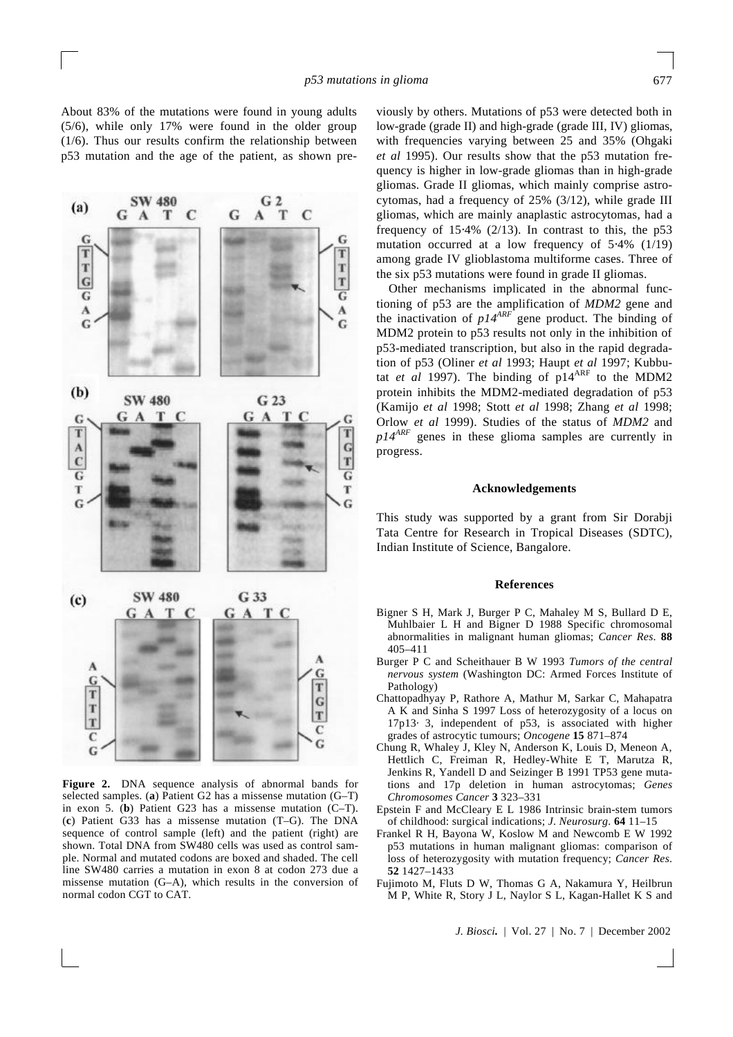About 83% of the mutations were found in young adults (5/6), while only 17% were found in the older group (1/6). Thus our results confirm the relationship between p53 mutation and the age of the patient, as shown pre-



**Figure 2.** DNA sequence analysis of abnormal bands for selected samples. (**a**) Patient G2 has a missense mutation (G–T) in exon 5. (**b**) Patient G23 has a missense mutation (C–T). (**c**) Patient G33 has a missense mutation (T–G). The DNA sequence of control sample (left) and the patient (right) are shown. Total DNA from SW480 cells was used as control sample. Normal and mutated codons are boxed and shaded. The cell line SW480 carries a mutation in exon 8 at codon 273 due a missense mutation (G–A), which results in the conversion of normal codon CGT to CAT.

viously by others. Mutations of p53 were detected both in low-grade (grade II) and high-grade (grade III, IV) gliomas, with frequencies varying between 25 and 35% (Ohgaki *et al* 1995). Our results show that the p53 mutation frequency is higher in low-grade gliomas than in high-grade gliomas. Grade II gliomas, which mainly comprise astrocytomas, had a frequency of 25% (3/12), while grade III gliomas, which are mainly anaplastic astrocytomas, had a frequency of  $15.4\%$  (2/13). In contrast to this, the p53 mutation occurred at a low frequency of 5⋅4% (1/19) among grade IV glioblastoma multiforme cases. Three of the six p53 mutations were found in grade II gliomas.

Other mechanisms implicated in the abnormal functioning of p53 are the amplification of *MDM2* gene and the inactivation of *p14ARF* gene product. The binding of MDM2 protein to p53 results not only in the inhibition of p53-mediated transcription, but also in the rapid degradation of p53 (Oliner *et al* 1993; Haupt *et al* 1997; Kubbutat *et al* 1997). The binding of p14<sup>ARF</sup> to the MDM2 protein inhibits the MDM2-mediated degradation of p53 (Kamijo *et al* 1998; Stott *et al* 1998; Zhang *et al* 1998; Orlow *et al* 1999). Studies of the status of *MDM2* and *p14ARF* genes in these glioma samples are currently in progress.

## **Acknowledgements**

This study was supported by a grant from Sir Dorabji Tata Centre for Research in Tropical Diseases (SDTC), Indian Institute of Science, Bangalore.

#### **References**

- Bigner S H, Mark J, Burger P C, Mahaley M S, Bullard D E, Muhlbaier L H and Bigner D 1988 Specific chromosomal abnormalities in malignant human gliomas; *Cancer Res*. **88** 405–411
- Burger P C and Scheithauer B W 1993 *Tumors of the central nervous system* (Washington DC: Armed Forces Institute of Pathology)
- Chattopadhyay P, Rathore A, Mathur M, Sarkar C, Mahapatra A K and Sinha S 1997 Loss of heterozygosity of a locus on 17p13· 3, independent of p53, is associated with higher grades of astrocytic tumours; *Oncogene* **15** 871–874
- Chung R, Whaley J, Kley N, Anderson K, Louis D, Meneon A, Hettlich C, Freiman R, Hedley-White E T, Marutza R, Jenkins R, Yandell D and Seizinger B 1991 TP53 gene mutations and 17p deletion in human astrocytomas; *Genes Chromosomes Cancer* **3** 323–331
- Epstein F and McCleary E L 1986 Intrinsic brain-stem tumors of childhood: surgical indications; *J*. *Neurosurg*. **64** 11–15
- Frankel R H, Bayona W, Koslow M and Newcomb E W 1992 p53 mutations in human malignant gliomas: comparison of loss of heterozygosity with mutation frequency; *Cancer Res*. **52** 1427–1433
- Fujimoto M, Fluts D W, Thomas G A, Nakamura Y, Heilbrun M P, White R, Story J L, Naylor S L, Kagan-Hallet K S and

*J. Biosci.* | Vol. 27 | No. 7 | December 2002